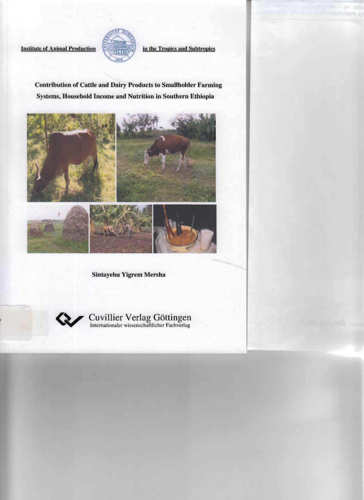

Institute of Animal Production  $\begin{bmatrix} 2000 & \text{if} & \text{if} \\ \text{if} & \text{if} & \text{if} \\ \text{if} & \text{if} & \text{if} \end{bmatrix}$  in the Tropics and Subtropics

# Contribution of Cattle and Dairy Products to Smallholder Farming Systems, Household Income and Nutrition in Southern Ethiopia



Sintayehu Yigrem Mersha

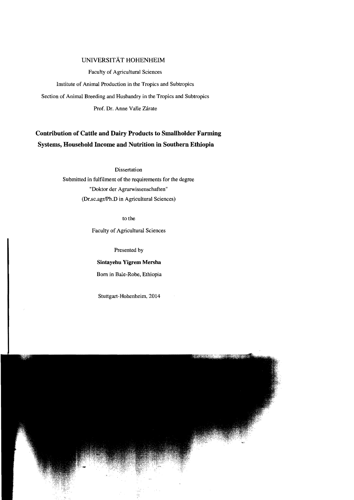## UNNERSITÄT **HOHENHEIM**

Faculty of Agricultural Sciences

Institute of Animal Production in the Tropics and Subtropics

Section of Animal Breeding and Husbandry in the Tropics and Subtropics

Prof. Dr. Anne VaUe Zirate

## **Contribution of Cattle and Dairy Products to Smallholder Farming Systems, Household Income and Nutrition in Southern Ethiopia**

**Dissertation** 

Submitted in fulfilment of the requirements for the degree "Doktor der Agrarwissenschaften" (Dr.sc.agr/Ph.D in Agricultural Sciences)

to the

Faculty of Agricultural Sciences

Presented by

## **Sintayehu Yigrem Mersha**

Born in BaIe-Robe, Ethiopia

Stuttgart -Hohenheim, 2014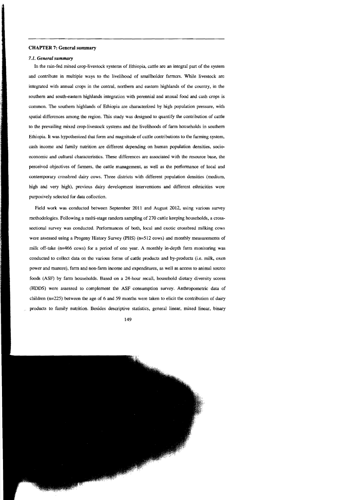### CHAPTER 7: General summary

### *7.1. General summary*

In the rain-fed mixed crop-livestock systems of Ethiopia, cattle are an integral part of the system and contribute in multiple ways to the livelihood of smallholder farmers. While livestock are integrated with annual crops in the central. northem and eastem highlands of the country, in the southem and south-eastem highlands integration with perennial and annual food and cash crops is common. The southem highlands of Ethiopia are characterized by high population pressure, with spatial differences among the region. This study was designed to quantify the contribution of cattle to the prevailing mixed crop-livestock systems and the livelihoods of farm households in southem Ethiopia. It was hypothesized that form and magnitude of cattle contributions to the farming system, cash ineome and family nutrition are different depending on human population densities. socioeconomie and eultural eharaeteristies. These differences are associated with the resource base, the pereeived objeetives of farmers, the cattle management, as weil as the performance of loeal and contemporary erossbred dairy eows. Three distriets with different population densities (medium, high and very high), previous dairy development interventions and different ethnicities were purposively seleeted for data eollection.

Field work was conducted between September 2011 and August 2012, using various survey methodologies. Following a multi-stage random sampling of 270 eattle keeping households, a crosssectional survey was conducted. Performances of both, local and exotic crossbred milking cows were assessed using a Progeny History Survey (PHS) (n=512 cows) and monthly measurements of milk off-take  $(n=466 \text{ cows})$  for a period of one year. A monthly in-depth farm monitoring was condueted to collect data on the various forms of cattle products and by-products (i.e. milk, oxen power and manure), farm and non-farm income and expenditures, as weil as access to animal source foods (ASF) by farm households. Based on a 24-hour recall, household dietary diversity scores (HDDS) were assessed to complement the ASF consumption survey. Anthropometrie data of children  $(n=225)$  between the age of 6 and 59 months were taken to elicit the contribution of dairy products to family nutrition. Besides descriptive statistics, general linear, mixed linear, binary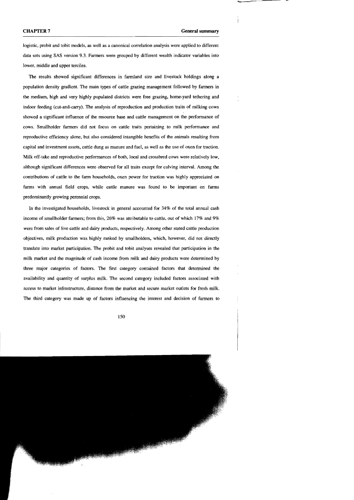logistic, probit and tobit models, as weil as a canonical correlation analysis were applied to different data sets using SAS version 9.3. Farmers were groupcd by different wealth indicator variables into lower, middle and upper tereiles.

The results showed signifieant differences in farmland size and livestock holdings along a population density gradient. The main types of cattle grazing management followed by farmers in the medium, high and very highly populaled distriets were free grazing, horne-yard tethering and indoor feeding (cut-and-earry). The analysis of reproduction and produetion traits of milking eows showed a significant influence of the resource base and cattle management on the performance of eows. Smallholder farmers did not focus on cattle traits pertaining to milk perfonnance and reproductive efficiency alone. but also considered intangible benefits of the animals resulting from capital and investment assets, cattle dung as manure and fuel, as well as the use of oxen for traction. Milk off-take and reproductive perfonnances of both, local and crossbred cows were relatively low, although significant differences were observed for all traits except for calving interval. Among the contributions of cattle to the farm households, oxen power for traction was highly appreciated on farms with annual field crops, while cattle manure was found to be important on farms predominantly growing perennial crops.

In the investigated households, livestock in general aceounted for 34% of the total annual cash income of smallholder farmers; from this, 26% was attributable to cattle, out of which 17% and 9% were from sales of Jive cattle and dairy products, respectively. Among other stated cattle production objectives, milk production was highly ranked by smallholders, which, however, did not direetly translate into market participation. The probit and tobit analyses revealed that participation in the milk market and the magnitude of cash ineome from milk and dairy products were deterrnined by three major categories of factors. The first category contained factors that determined the availability and quantity of surplus milk. The seeond category included factors associated with access to market infrastructure. distance from the market and seeure market outlets for fresh milk, The third category was made up of factors influencing the interest and decision of farmers to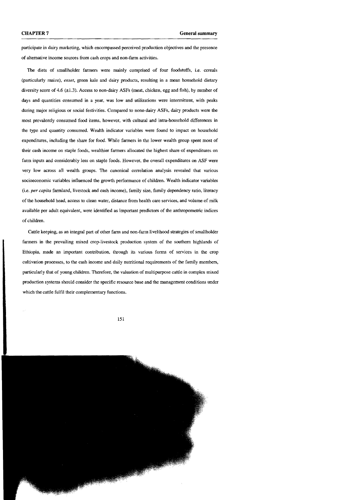participate in dairy marketing, which encompassed perceived production objectives and the presence of a1temative income sources from cash crops and non-farm activities.

The diets of smallholder farmers were mainly comprised of four foodstuffs, i.e. cereals (particularly maize) , *enset,* green kaie and dairy products, resulting in a mean household dietary diversity score of 4.6  $(\pm 1.3)$ . Access to non-dairy ASFs (meat, chicken, egg and fish), by number of days and quantities consumed in a year, was low and utilizations were interrnittent, with peaks during major religious or social festivities. Compared to none-dairy ASFs, dairy products were the most prevalently consumed food items, however, with cultural and intra-household differences in the type and quantity consumed. Wealth indicator variables were found to impact on household expenditures, including the share for food. While farmers in the lower wealth group spent most of their cash income on staple foods, wealthier farmers allocated the highest share of expenditures on farm inputs and considerably less on staple foods. However, the overall expenditures on ASF were very low across all wealth groups. The canonical correlation analysis revealed that various socioeconomic variables influenced the growth performance of children. Wealth indicator variables (i.e. *per capita* farmland, livestock and cash income), family size, family dependency ratio, literacy of the household head, access to clean water, distance from health care services, and volume of milk available per adult equivalent, were identified as important predictors of the anthropometrie indices of children.

CattIe keeping, as an integral part of other farm and non-farm livelihood strategies of smallholder farmers in the prevailing mixed crop-Iivestock production system of the southem highlands of Ethiopia, made an important contribution, through its various forrns of services in the crop cultivation processes, to the cash income and daily nutritional requirements of the family members, particularly that of young children. Therefore, the valuation of multipurpose cattle in complex mixed production systems should consider the specific resource base and the management conditions under which the cattle fulfil their complementary functions.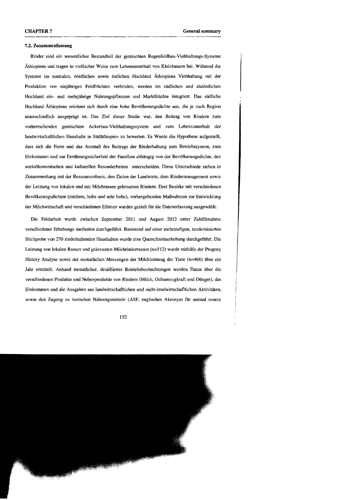#### 7.2. Zusammenfassung

Rinder sind ein wesentlicher Bestandteil der gemischten Regenfeldbau-Viehhaltungs-Systeme Äthiopiens und tragen in vielfacher Weise zum Lebensunterhalt von Kleinbauern bei. Während die Systeme im zentralen, nördlichen sowie östlichen Hochland Äthiopiens Viehhaltung mit der Produktion von einjährigen Feldfrüchten verbinden, werden im südlichen und südöstlichen Hochland ein- und mehriährige Nahrungspflanzen und Marktfrüchte integriert. Das südliche Hochland Äthiopiens zeichnet sich durch eine hohe Bevölkerungsdichte aus, die je nach Region unterschiedlich ausgeprägt ist. Das Ziel dieser Studie war, den Beitrag von Rindern zum vorherrschenden gemischten Ackerbau-Viehhaltungssystem und zum Lebensunterhalt der landwirtschaftlichen Haushalte in Südäthiopien zu bewerten. Es Wurde die Hypothese aufgestellt, dass sich die Form und das Ausmaß des Beitrags der Rinderhaltung zum Betriebssystem, zum Einkommen und zur Emähmngssicherheit der Familien abhängig von der Bevölkerungsdichte, den sozioökonomischen und kulturellen Besonderheiten unterscheiden. Diese Unterschiede stehen in Zusammenhang mit der Ressourcenbasis, den Zielen der Landwirte, dem Rindermanagement sowie der Leistung von lokalen und mit Milchrassen gekreuzten Rindern. Drei Bezirke mit verschiedenen Bevölkerungsdichten (mittlere, hohe und sehr hohe), vorhergehenden Maßnahmen zur Entwicklung der Milchwirtschaft und verschiedenen Ethnien wurden gezielt für die Datenerfassung ausgewählt.

Die Feldarbeit wurde zwischen September 2011 und August 2012 unter Zuhilfenahme verschiedener Erhebungs methoden durchgeführt. Basierend auf einer mehrstufigen, randomisierten Stichprobe von 270 rinderhaltenden Haushalten wurde eine Querschnittserhebung durchgeführt. Die Leistung von lokalen Rassen und gekreuzten Milchrinderrassen (n=512) wurde mithilfe der Progeny History Analyse sowie der monatlichen Messungen der Milchleistung der Tiere (n=466) über ein Jahr ennittelt. Anhand monatlicher, detaillierter Betriebsbeobachtungen wurden Daten über die verschiedenen Produkte und Nebenprodukte von Rindern (Milch, Ochsenzugkraft und Dünger), das Einkommen und die Ausgaben aus landwirtschafttichen und nicht-landwirtschafltichen Aktivitäten, sowie den Zugang zu tierischen Nahrungsmitteln (ASF, englisches Akronym für anima! source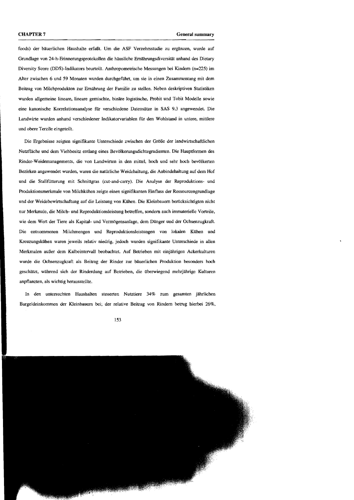foods) der bäuerlichen Haushalte erfaßt. Um die ASF Verzehrsstudie zu ergänzen, wurde auf Grundlage von 24-h-Erinnerungsprotokollen die häusliche Ernährungsdiversität anhand des Dietary Diversity Score (DDS)-lndikators beurteilt. Anthropometrische Messungen bei Kindern (n=225) im Alter zwischen 6 und 59 Monaten wurden durchgeführt, um sie in einen Zusammentang mit dem Beitrag von Milchprodukten zur Ernährung der Familie zu stellen. Neben deskriptiven Statistiken wurden allgemeine lineare, lineare gemischte, binäre logistische. Probit und Tobit Modelle sowie eine kanonische Korrelationsanalyse für verschiedene Datensätze in SAS 9.3 angewendet. Die Landwirte wurden anhand verschiedener Indikatorvariablen für den Wohlstand in untere, mittlere und obere Terzile eingeteilt.

Die Ergebnisse zeigten signifIkante Unterschiede zwischen der Größe der landwirtschaftlichen Nutzfläche und dem Viehbesitz entlang eines Bevölkerungsdichtegradienten. Die Hauptforrnen des Rinder-Weidemanagements. die von Landwirten in den mittel, hoch und sehr hoch bevölkerten Bezirken angewendet wurden, waren die natürliche Weidehaltung, die Anbindehaltung auf dem Hof und die Stallfütterung mit Schnittgras (cut-and-carry). Die Analyse der Reproduktions- und Produktionsmerkmale von Milchkühen zeigte einen signifikanten Einfluss der Ressourcengrundlage und der Weidebewirtschaftung auf die Leistung von Kühen. Die Kleinbauern berücksichtigten nicht nur Merkmale, die Milch- und Reproduktionsleistung betreffen, sondern auch immaterielle Vorteile, wie dem Wert der Tiere als Kapital- und Verrnögensanlage, dem Dünger und der Ochsenzugkraft. Die entnommenen Milchmengen und Reproduktionsleistungen von lokalen Kühen und Kreuzungskühen waren jeweils relativ niedrig, jedoch wurden signifikante Unterschiede in allen Merkmalen außer dem Kalbeintervall beobachtet. Auf Betrieben mit einjährigen Ackerkulturen wurde die Ochsenzugkraft als Beitrag der Rinder zur bäuerlichen Produktion besonders hoch geschätzt, während sich der Rinderdung auf Betrieben, die überwiegend mehrjährige Kulturen anpflanzten, als wichtig herausstellte.

In den untersuchten Haushalten steuerten Nutztiere 34% zum gesamten jährlichen Bargeldeinkommen der Kleinbauern bei; der relative Beitrag von Rindern betrug hierbei 26%,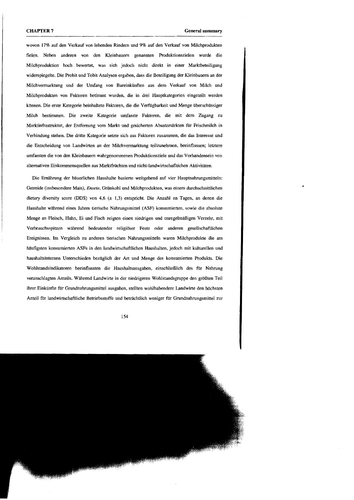wovon 17% auf den Verkauf von lebenden Rindern und 9% auf den Verkauf von Milchprodukten fielen. Neben anderen von den Kleinbauern genannten Produktionszielen wurde die Milchproduktion hoch bewertet, was sich jedoch nicht direkt in einer Marktbeteiligung widerspiegelte. Die Probit und Tobit Analysen ergaben, dass die Beteiligung der Kleinbauern an der Milchverrnarktung und der Umfang von Bareinkl1nften aus dem Verkauf von Milch und Milchprodukten von Faktoren betimmt wurden, die in drei Hauptkategorien eingeteilt werden können. Die erste Kategorie beinhaltete Faktoren, die die Verfijgbarkeit und Menge überschüssiger Milch bestimmen. Die zweite Kategorie umfa~ste Faktoren, die mit dem Zugang zu Marktinfrastruktur, der Entfernung vom Markt und gesicherten Absatzmärkten für Frischmilch in Verbindung stehen. Die dritte Kategorie setzte sich aus Faktoren zusammen, die das Interesse und die Entscheidung von Landwirten an der Milchvermarktung teilzunehmen, beeinflussen; letztere umfassten die von den Kleinbauern wahrgenommenen Produktlonsziele und das Vorhandensein von alternativen Einkommensquellen aus Marktfrüchten und nicht-landwirtschafltichen Aktivitäten.

Die Ernährung der bäuerlichen Haushalte basierte weitgehend auf vier Hauptnahrungsmitteln: Getreide (insbesondere Mais), *Ensete,* Grünkohl und Milchprodukten, was einem durchschnittlichen dietary diversity score (DDS) von 4,6 (± 1,3) entspricht. Die Anzahl an Tagen, an denen die Haushalte während eines Jahres tierische Nahrungsmittel (ASP) konsumierten, sowie die absolute Menge an Fleisch, Huhn, Ei und Fisch zeigten einen niedrigen und unregelmäßigen Verzehr, mit Verbrauchsspitzen während bedeutender religiöser Feste oder anderen gesellschaftlichen Ereignissen. Im Vergleich zu anderen tierischen Nahrungsmitteln waren Milchprodukte die am häufigsten konsumierten ASFs in den landwirtschaftlichen Haushalten, jedoch mit kulturellen und haushaltsinternen Unterschieden bezüglich der An und Menge des konsumierten Produkts. Die Wohlstandsindikatoren beeinflussten die Haushaltsausgaben, einschließlich des für Nahrung veranschlagten Anteils. Während Landwirte in der niedrigeren Wohlstandsgruppe den größten Teil ihrer Einkünfte für Grundnahrungsmittel ausgaben, stellten wohlhabendere Landwirte den höchsten Anteil für landwirtschaftliche Betriebsstoffe und beträchtlich weniger für Grundnahrungsmittel zur